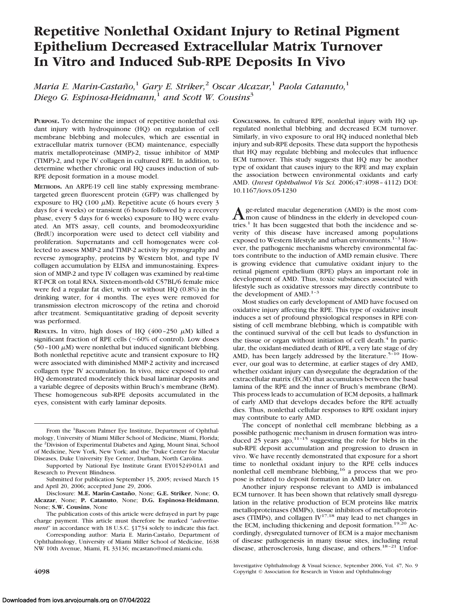# **Repetitive Nonlethal Oxidant Injury to Retinal Pigment Epithelium Decreased Extracellular Matrix Turnover In Vitro and Induced Sub-RPE Deposits In Vivo**

*Maria E. Marin-Castan˜o,*<sup>1</sup> *Gary E. Striker,*<sup>2</sup> *Oscar Alcazar,*<sup>1</sup> *Paola Catanuto,*<sup>1</sup> *Diego G. Espinosa-Heidmann,*<sup>1</sup> *and Scott W. Cousins*<sup>3</sup>

**PURPOSE.** To determine the impact of repetitive nonlethal oxidant injury with hydroquinone (HQ) on regulation of cell membrane blebbing and molecules, which are essential in extracellular matrix turnover (ECM) maintenance, especially matrix metalloproteinase (MMP)-2, tissue inhibitor of MMP (TIMP)-2, and type IV collagen in cultured RPE. In addition, to determine whether chronic oral HQ causes induction of sub-RPE deposit formation in a mouse model.

**METHODS.** An ARPE-19 cell line stably expressing membranetargeted green fluorescent protein (GFP) was challenged by exposure to HQ (100  $\mu$ M). Repetitive acute (6 hours every 3 days for 4 weeks) or transient (6 hours followed by a recovery phase, every 5 days for 6 weeks) exposure to HQ were evaluated. An MTS assay, cell counts, and bromodeoxyuridine (BrdU) incorporation were used to detect cell viability and proliferation. Supernatants and cell homogenates were collected to assess MMP-2 and TIMP-2 activity by zymography and reverse zymography, proteins by Western blot, and type IV collagen accumulation by ELISA and immunostaining. Expression of MMP-2 and type IV collagen was examined by real-time RT-PCR on total RNA. Sixteen-month-old C57BL/6 female mice were fed a regular fat diet, with or without HQ (0.8%) in the drinking water, for 4 months. The eyes were removed for transmission electron microscopy of the retina and choroid after treatment. Semiquantitative grading of deposit severity was performed.

**RESULTS.** In vitro, high doses of HQ  $(400-250 \mu M)$  killed a significant fraction of RPE cells ( $\sim$ 60% of control). Low doses  $(50 - 100 \mu M)$  were nonlethal but induced significant blebbing. Both nonlethal repetitive acute and transient exposure to HQ were associated with diminished MMP-2 activity and increased collagen type IV accumulation. In vivo, mice exposed to oral HQ demonstrated moderately thick basal laminar deposits and a variable degree of deposits within Bruch's membrane (BrM). These homogeneous sub-RPE deposits accumulated in the eyes, consistent with early laminar deposits.

From the <sup>1</sup>Bascom Palmer Eye Institute, Department of Ophthalmology, University of Miami Miller School of Medicine, Miami, Florida; the <sup>2</sup> Division of Experimental Diabetes and Aging, Mount Sinai, School of Medicine, New York, New York; and the <sup>3</sup>Duke Center for Macular Diseases, Duke University Eye Center, Durham, North Carolina.

Disclosure: M.E. Marin-Castaño, None; G.E. Striker, None; O. **Alcazar**, None; **P. Catanuto**, None; **D.G. Espinosa-Heidmann**, None; **S.W. Cousins**, None

The publication costs of this article were defrayed in part by page charge payment. This article must therefore be marked "*advertisement*" in accordance with 18 U.S.C. §1734 solely to indicate this fact.

Corresponding author: Maria E. Marin-Castaño, Department of Ophthalmology, University of Miami Miller School of Medicine, 1638 NW 10th Avenue, Miami, FL 33136; mcastano@med.miami.edu.

CONCLUSIONS. In cultured RPE, nonlethal injury with HQ upregulated nonlethal blebbing and decreased ECM turnover. Similarly, in vivo exposure to oral HQ induced nonlethal bleb injury and sub-RPE deposits. These data support the hypothesis that HQ may regulate blebbing and molecules that influence ECM turnover. This study suggests that HQ may be another type of oxidant that causes injury to the RPE and may explain the association between environmental oxidants and early AMD. (*Invest Ophthalmol Vis Sci.* 2006;47:4098 – 4112) DOI: 10.1167/iovs.05-1230

A ge-related macular degeneration (AMD) is the most com-<br>mon cause of blindness in the elderly in developed countries.<sup>1</sup> It has been suggested that both the incidence and severity of this disease have increased among populations exposed to Western lifestyle and urban environments.<sup>1-3</sup> However, the pathogenic mechanisms whereby environmental factors contribute to the induction of AMD remain elusive. There is growing evidence that cumulative oxidant injury to the retinal pigment epithelium (RPE) plays an important role in development of AMD. Thus, toxic substances associated with lifestyle such as oxidative stressors may directly contribute to the development of  $AMD.$ <sup>1-3</sup>

Most studies on early development of AMD have focused on oxidative injury affecting the RPE. This type of oxidative insult induces a set of profound physiological responses in RPE consisting of cell membrane blebbing, which is compatible with the continued survival of the cell but leads to dysfunction in the tissue or organ without initiation of cell death.<sup>4</sup> In particular, the oxidant-mediated death of RPE, a very late stage of dry AMD, has been largely addressed by the literature.<sup>5-10</sup> However, our goal was to determine, at earlier stages of dry AMD, whether oxidant injury can dysregulate the degradation of the extracellular matrix (ECM) that accumulates between the basal lamina of the RPE and the inner of Bruch's membrane (BrM). This process leads to accumulation of ECM deposits, a hallmark of early AMD that develops decades before the RPE actually dies. Thus, nonlethal cellular responses to RPE oxidant injury may contribute to early AMD.

The concept of nonlethal cell membrane blebbing as a possible pathogenic mechanism in drusen formation was introduced 25 years ago, $11-15$  suggesting the role for blebs in the sub-RPE deposit accumulation and progression to drusen in vivo. We have recently demonstrated that exposure for a short time to nonlethal oxidant injury to the RPE cells induces nonlethal cell membrane blebbing,<sup>16</sup> a process that we propose is related to deposit formation in AMD later on.

Another injury response relevant to AMD is imbalanced ECM turnover. It has been shown that relatively small dysregulation in the relative production of ECM proteins like matrix metalloproteinases (MMPs), tissue inhibitors of metalloproteinases (TIMPs), and collagen  $IV^{17,18}$  may lead to net changes in the ECM, including thickening and deposit formation.<sup>19,20</sup> Accordingly, dysregulated turnover of ECM is a major mechanism of disease pathogenesis in many tissue sites, including renal disease, atherosclerosis, lung disease, and others.<sup>18-21</sup> Unfor-

Investigative Ophthalmology & Visual Science, September 2006, Vol. 47, No. 9 **4098** Copyright © Association for Research in Vision and Ophthalmology

Supported by National Eye Institute Grant EY015249-01A1 and Research to Prevent Blindness.

Submitted for publication September 15, 2005; revised March 15 and April 20, 2006; accepted June 29, 2006.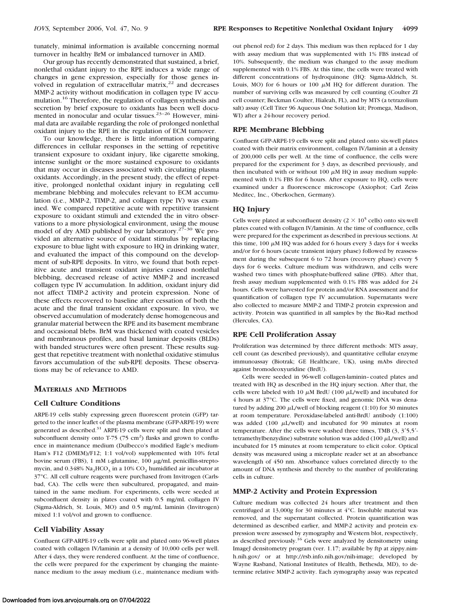tunately, minimal information is available concerning normal turnover in healthy BrM or imbalanced turnover in AMD.

Our group has recently demonstrated that sustained, a brief, nonlethal oxidant injury to the RPE induces a wide range of changes in gene expression, especially for those genes involved in regulation of extracellular matrix, $22$  and decreases MMP-2 activity without modification in collagen type IV accumulation.16 Therefore, the regulation of collagen synthesis and secretion by brief exposure to oxidants has been well documented in nonocular and ocular tissues.<sup>23-26</sup> However, minimal data are available regarding the role of prolonged nonlethal oxidant injury to the RPE in the regulation of ECM turnover.

To our knowledge, there is little information comparing differences in cellular responses in the setting of repetitive transient exposure to oxidant injury, like cigarette smoking, intense sunlight or the more sustained exposure to oxidants that may occur in diseases associated with circulating plasma oxidants. Accordingly, in the present study, the effect of repetitive, prolonged nonlethal oxidant injury in regulating cell membrane blebbing and molecules relevant to ECM accumulation (i.e., MMP-2, TIMP-2, and collagen type IV) was examined. We compared repetitive acute with repetitive transient exposure to oxidant stimuli and extended the in vitro observations to a more physiological environment, using the mouse model of dry AMD published by our laboratory.<sup>27-30</sup> We provided an alternative source of oxidant stimulus by replacing exposure to blue light with exposure to HQ in drinking water, and evaluated the impact of this compound on the development of sub-RPE deposits. In vitro, we found that both repetitive acute and transient oxidant injuries caused nonlethal blebbing, decreased release of active MMP-2 and increased collagen type IV accumulation. In addition, oxidant injury did not affect TIMP-2 activity and protein expression. None of these effects recovered to baseline after cessation of both the acute and the final transient oxidant exposure. In vivo, we observed accumulation of moderately dense homogeneous and granular material between the RPE and its basement membrane and occasional blebs. BrM was thickened with coated vesicles and membranous profiles, and basal laminar deposits (BLDs) with banded structures were often present. These results suggest that repetitive treatment with nonlethal oxidative stimulus favors accumulation of the sub-RPE deposits. These observations may be of relevance to AMD.

### **MATERIALS AND METHODS**

#### **Cell Culture Conditions**

ARPE-19 cells stably expressing green fluorescent protein (GFP) targeted to the inner leaflet of the plasma membrane (GFP-ARPE-19) were generated as described. $31$  ARPE-19 cells were split and then plated at subconfluent density onto T-75  $(75 \text{ cm}^2)$  flasks and grown to confluence in maintenance medium (Dulbecco's modified Eagle's medium-Ham's F12 (DMEM)/F12; 1:1 vol/vol) supplemented with 10% fetal bovine serum (FBS), 1 mM L-glutamine, 100  $\mu$ g/mL penicillin-streptomycin, and  $0.348\%$  Na<sub>2</sub>HCO<sub>3</sub> in a 10% CO<sub>2</sub> humidified air incubator at 37°C. All cell culture reagents were purchased from Invitrogen (Carlsbad, CA). The cells were then subcultured, propagated, and maintained in the same medium. For experiments, cells were seeded at subconfluent density in plates coated with 0.5 mg/mL collagen IV (Sigma-Aldrich, St. Louis, MO) and 0.5 mg/mL laminin (Invitrogen) mixed 1:1 vol/vol and grown to confluence.

### **Cell Viability Assay**

Confluent GFP-ARPE-19 cells were split and plated onto 96-well plates coated with collagen IV/laminin at a density of 10,000 cells per well. After 4 days, they were rendered confluent. At the time of confluence, the cells were prepared for the experiment by changing the maintenance medium to the assay medium (i.e., maintenance medium without phenol red) for 2 days. This medium was then replaced for 1 day with assay medium that was supplemented with 1% FBS instead of 10%. Subsequently, the medium was changed to the assay medium supplemented with 0.1% FBS. At this time, the cells were treated with different concentrations of hydroquinone (HQ: Sigma-Aldrich, St. Louis, MO) for 6 hours or 100  $\mu$ M HQ for different duration. The number of surviving cells was measured by cell counting (Coulter ZI cell counter; Beckman Coulter, Hialeah, FL), and by MTS (a tetrazolium salt) assay (Cell Titer 96 Aqueous One Solution kit; Promega, Madison, WI) after a 24-hour recovery period.

### **RPE Membrane Blebbing**

Confluent GFP-ARPE-19 cells were split and plated onto six-well plates coated with their matrix environment, collagen IV/laminin at a density of 200,000 cells per well. At the time of confluence, the cells were prepared for the experiment for 3 days, as described previously, and then incubated with or without 100  $\mu$ M HQ in assay medium supplemented with 0.1% FBS for 6 hours. After exposure to HQ, cells were examined under a fluorescence microscope (Axiophot; Carl Zeiss Meditec, Inc., Oberkochen, Germany).

#### **HQ Injury**

Cells were plated at subconfluent density  $(2 \times 10^5 \text{ cells})$  onto six-well plates coated with collagen IV/laminin. At the time of confluence, cells were prepared for the experiment as described in previous sections. At this time, 100  $\mu$ M HQ was added for 6 hours every 3 days for 4 weeks and/or for 6 hours (acute transient injury phase) followed by reassessment during the subsequent 6 to 72 hours (recovery phase) every 5 days for 6 weeks. Culture medium was withdrawn, and cells were washed two times with phosphate-buffered saline (PBS). After that, fresh assay medium supplemented with 0.1% FBS was added for 24 hours. Cells were harvested for protein and/or RNA assessment and for quantification of collagen type IV accumulation. Supernatants were also collected to measure MMP-2 and TIMP-2 protein expression and activity. Protein was quantified in all samples by the Bio-Rad method (Hercules, CA).

#### **RPE Cell Proliferation Assay**

Proliferation was determined by three different methods: MTS assay, cell count (as described previously), and quantitative cellular enzyme immunoassay (Biotrak; GE Healthcare, UK), using mAbs directed against bromodeoxyuridine (BrdU).

Cells were seeded in 96-well collagen-laminin–coated plates and treated with HQ as described in the HQ injury section. After that, the cells were labeled with 10  $\mu$ M BrdU (100  $\mu$ L/well) and incubated for 4 hours at 37°C. The cells were fixed, and genomic DNA was denatured by adding 200  $\mu$ L/well of blocking reagent (1:10) for 30 minutes at room temperature. Peroxidase-labeled anti-BrdU antibody (1:100) was added (100  $\mu$ L/well) and incubated for 90 minutes at room temperature. After the cells were washed three times, TMB (3, 3'5,5'tetramethylbenzydine) substrate solution was added (100  $\mu$ L/well) and incubated for 15 minutes at room temperature to elicit color. Optical density was measured using a microplate reader set at an absorbance wavelength of 450 nm. Absorbance values correlated directly to the amount of DNA synthesis and thereby to the number of proliferating cells in culture.

#### **MMP-2 Activity and Protein Expression**

Culture medium was collected 24 hours after treatment and then centrifuged at 13,000*g* for 30 minutes at 4°C. Insoluble material was removed, and the supernatant collected. Protein quantification was determined as described earlier, and MMP-2 activity and protein expression were assessed by zymography and Western blot, respectively, as described previously.16 Gels were analyzed by densitometry using ImageJ densitometry program (ver. 1.17; available by ftp at zippy.nimh.nih.gov/ or at http://rsb.info.nih.gov/nih-image; developed by Wayne Rasband, National Institutes of Health, Bethesda, MD), to determine relative MMP-2 activity. Each zymography assay was repeated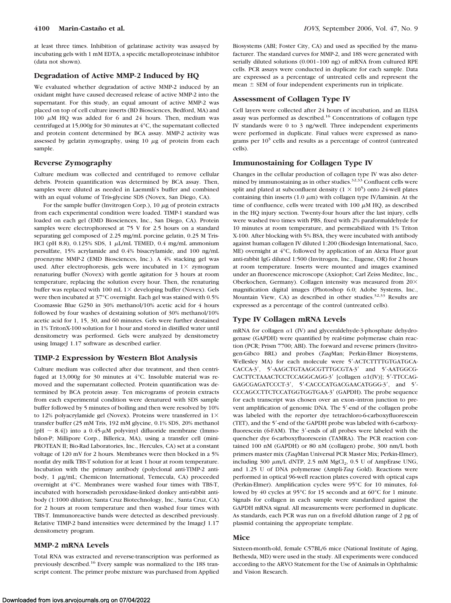at least three times. Inhibition of gelatinase activity was assayed by incubating gels with 1 mM EDTA, a specific metalloproteinase inhibitor (data not shown).

#### **Degradation of Active MMP-2 Induced by HQ**

We evaluated whether degradation of active MMP-2 induced by an oxidant might have caused decreased release of active MMP-2 into the supernatant. For this study, an equal amount of active MMP-2 was placed on top of cell culture inserts (BD Biosciences, Bedford, MA) and 100  $\mu$ M HQ was added for 6 and 24 hours. Then, medium was centrifuged at 15,000*g* for 30 minutes at 4°C, the supernatant collected and protein content determined by BCA assay. MMP-2 activity was assessed by gelatin zymography, using  $10 \mu$ g of protein from each sample.

#### **Reverse Zymography**

Culture medium was collected and centrifuged to remove cellular debris. Protein quantification was determined by BCA assay. Then, samples were diluted as needed in Laemmli's buffer and combined with an equal volume of Tris-glycine SDS (Novex, San Diego, CA).

For the sample buffer (Invitrogen Corp.),  $10 \mu$ g of protein extracts from each experimental condition were loaded. TIMP-1 standard was loaded on each gel (EMD Biosciences, Inc., San Diego, CA). Protein samples were electrophoresed at 75 V for 2.5 hours on a standard separating gel composed of 2.25 mg/mL porcine gelatin, 0.25 M Tris-HCl (pH 8.8),  $0.125\%$  SDS, 1  $\mu$ L/mL TEMED,  $0.4$  mg/mL ammonium persulfate, 15% acrylamide and 0.4% bisacrylamide, and 100 ng/mL proenzyme MMP-2 (EMD Biosciences, Inc.). A 4% stacking gel was used. After electrophoresis, gels were incubated in  $1 \times z$ ymogram renaturing buffer (Novex) with gentle agitation for 3 hours at room temperature, replacing the solution every hour. Then, the renaturing buffer was replaced with 100 mL  $1\times$  developing buffer (Novex). Gels were then incubated at 37°C overnight. Each gel was stained with 0.5% Coomassie Blue G250 in 30% methanol/10% acetic acid for 4 hours followed by four washes of destaining solution of 30% methanol/10% acetic acid for 1, 15, 30, and 60 minutes. Gels were further destained in 1% TritonX-100 solution for 1 hour and stored in distilled water until densitometry was performed. Gels were analyzed by densitometry using ImageJ 1.17 software as described earlier.

# **TIMP-2 Expression by Western Blot Analysis**

Culture medium was collected after due treatment, and then centrifuged at 13,000*g* for 30 minutes at 4°C. Insoluble material was removed and the supernatant collected. Protein quantification was determined by BCA protein assay. Ten micrograms of protein extracts from each experimental condition were denatured with SDS sample buffer followed by 5 minutes of boiling and then were resolved by 10% to 12% polyacrylamide gel (Novex). Proteins were transferred in  $1\times$ transfer buffer (25 mM Tris, 192 mM glycine, 0.1% SDS, 20% methanol [pH  $\sim$  8.4]) into a 0.45- $\mu$ M polyvinyl difluoride membrane (Immobilon-P; Millipore Corp., Billerica, MA), using a transfer cell (mini-PROTEAN II; Bio-Rad Laboratories, Inc., Hercules, CA) set at a constant voltage of 120 mV for 2 hours. Membranes were then blocked in a 5% nonfat dry milk TBS-T solution for at least 1 hour at room temperature. Incubation with the primary antibody (polyclonal anti-TIMP-2 antibody, 1 µg/mL; Chemicon International, Temecula, CA) proceeded overnight at 4°C. Membranes were washed four times with TBS-T, incubated with horseradish peroxidase-linked donkey anti-rabbit antibody (1:1000 dilution; Santa Cruz Biotechnology, Inc., Santa Cruz, CA) for 2 hours at room temperature and then washed four times with TBS-T. Immunoreactive bands were detected as described previously. Relative TIMP-2 band intensities were determined by the ImageJ 1.17 densitometry program.

# **MMP-2 mRNA Levels**

Total RNA was extracted and reverse-transcription was performed as previously described.16 Every sample was normalized to the 18S transcript content. The primer probe mixture was purchased from Applied Biosystems (ABI; Foster City, CA) and used as specified by the manufacturer. The standard curves for MMP-2, and 18S were generated with serially diluted solutions (0.001–100 ng) of mRNA from cultured RPE cells. PCR assays were conducted in duplicate for each sample. Data are expressed as a percentage of untreated cells and represent the mean  $\pm$  SEM of four independent experiments run in triplicate.

# **Assessment of Collagen Type IV**

Cell layers were collected after 24 hours of incubation, and an ELISA assay was performed as described.<sup>16</sup> Concentrations of collagen type IV standards were 0 to 3 ng/well. Three independent experiments were performed in duplicate. Final values were expressed as nanograms per 10<sup>5</sup> cells and results as a percentage of control (untreated cells).

# **Immunostaining for Collagen Type IV**

Changes in the cellular production of collagen type IV was also determined by immunostaining as in other studies. $32,33$  Confluent cells were split and plated at subconfluent density  $(1 \times 10^5)$  onto 24-well plates containing thin inserts (1.0  $\mu$ m) with collagen type IV/laminin. At the time of confluence, cells were treated with  $100 \mu M$  HQ, as described in the HQ injury section. Twenty-four hours after the last injury, cells were washed two times with PBS, fixed with 2% paraformaldehyde for 10 minutes at room temperature, and permeabilized with 1% Triton X-100. After blocking with 5% BSA, they were incubated with antibody against human collagen IV diluted 1:200 (Biodesign International, Saco, ME) overnight at 4°C, followed by application of an Alexa Fluor goat anti-rabbit IgG diluted 1:500 (Invitrogen, Inc., Eugene, OR) for 2 hours at room temperature. Inserts were mounted and images examined under an fluorescence microscope (Axiophot; Carl Zeiss Meditec, Inc., Oberkochen, Germany). Collagen intensity was measured from  $20\times$ magnification digital images (Photoshop 6.0; Adobe Systems, Inc., Mountain View, CA) as described in other studies. $32,33$  Results are expressed as a percentage of the control (untreated cells).

### **Type IV Collagen mRNA Levels**

mRNA for collagen  $\alpha$ 1 (IV) and glyceraldehyde-3-phosphate dehydrogenase (GAPDH) were quantified by real-time polymerase chain reaction (PCR; Prism 7700; ABI). The forward and reverse primers (Invitrogen-Gibco BRL) and probes (*Taq*Man; Perkin-Elmer Biosystems, Wellesley MA) for each molecule were 5'-ACTCTTTTGTGATGCA-CACCA-3', 5'-AAGCTGTAAGCGTTTGCGTA-3' and 5'-AATGGCG-CACTTCTAAACTCCTCCAGGCAGG-3' [collagen α1(IV)]; 5'-TTCCAG-GAGCGAGATCCCT-3', 5'-CACCCATGACGAACATGGG-3', and 5'-CCCAGCCTTCTCCATGGTGGTGAA-3 (GAPDH). The probe sequence for each transcript was chosen over an exon–intron junction to prevent amplification of genomic DNA. The 5'-end of the collagen probe was labeled with the reporter dye tetrachloro-6-carboxyfluorescein (TET), and the 5'-end of the GAPDH probe was labeled with 6-carboxyfluorescein (6-FAM). The 3'-ends of all probes were labeled with the quencher dye 6-carboxyfluorescein (TAMRA). The PCR reaction contained 100 nM (GAPDH) or 80 nM (collagen) probe, 300 nm/L both primers master mix (*Taq*Man Universal PCR Master Mix; Perkin-Elmer), including 300  $\mu$ m/L dNTP, 2.5 mM MgCl<sub>2</sub>, 0.5 U of AmpErase UNG, and 1.25 U of DNA polymerase (Ampli-*Taq* Gold). Reactions were performed in optical 96-well reaction plates covered with optical caps (Perkin-Elmer). Amplification cycles were 95°C for 10 minutes, followed by 40 cycles at 95°C for 15 seconds and at 60°C for 1 minute. Signals for collagen in each sample were standardized against the GAPDH mRNA signal. All measurements were performed in duplicate. As standards, each PCR was run on a fivefold dilution range of 2 pg of plasmid containing the appropriate template.

#### **Mice**

Sixteen-month-old, female C57BL/6 mice (National Institute of Aging, Bethesda, MD) were used in the study. All experiments were conduced according to the ARVO Statement for the Use of Animals in Ophthalmic and Vision Research.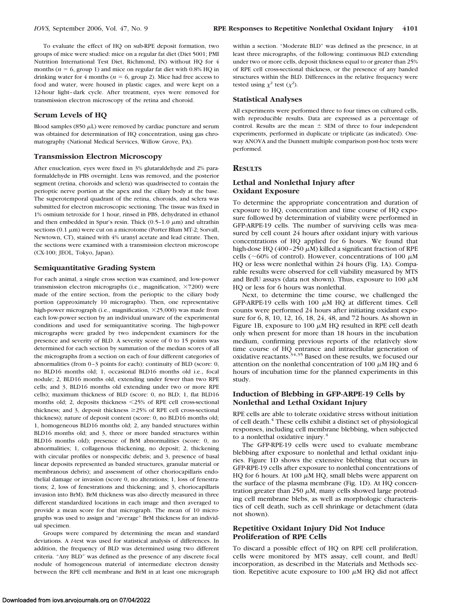To evaluate the effect of HQ on sub-RPE deposit formation, two groups of mice were studied: mice on a regular fat diet (Diet 5001; PMI Nutrition International Test Diet, Richmond, IN) without HQ for 4 months ( $n = 6$ , group 1) and mice on regular fat diet with 0.8% HQ in drinking water for  $4$  months ( $n = 6$ , group 2). Mice had free access to food and water, were housed in plastic cages, and were kept on a 12-hour light– dark cycle. After treatment, eyes were removed for transmission electron microscopy of the retina and choroid.

#### **Serum Levels of HQ**

Blood samples (850  $\mu$ L) were removed by cardiac puncture and serum was obtained for determination of HQ concentration, using gas chromatography (National Medical Services, Willow Grove, PA).

#### **Transmission Electron Microscopy**

After enucleation, eyes were fixed in 3% glutaraldehyde and 2% paraformaldehyde in PBS overnight. Lens was removed, and the posterior segment (retina, choroids and sclera) was quadrisected to contain the perioptic nerve portion at the apex and the ciliary body at the base. The superotemporal quadrant of the retina, choroids, and sclera was submitted for electron microscopic sectioning. The tissue was fixed in 1% osmium tetroxide for 1 hour, rinsed in PBS, dehydrated in ethanol and then embedded in Spur's resin. Thick  $(0.5-1.0 \mu m)$  and ultrathin sections  $(0.1 \mu m)$  were cut on a microtome (Porter Blum MT-2; Sorvall, Newtown, CT), stained with 4% uranyl acetate and lead citrate. Then, the sections were examined with a transmission electron microscope (CX-100; JEOL, Tokyo, Japan).

#### **Semiquantitative Grading System**

For each animal, a single cross section was examined, and low-power transmission electron micrographs (i.e., magnification, ×7200) were made of the entire section, from the perioptic to the ciliary body portion (approximately 10 micrographs). Then, one representative high-power micrograph (i.e., magnification,  $\times$ 25,000) was made from each low-power section by an individual unaware of the experimental conditions and used for semiquantitative scoring. The high-power micrographs were graded by two independent examiners for the presence and severity of BLD. A severity score of 0 to 15 points was determined for each section by summation of the median scores of all the micrographs from a section on each of four different categories of abnormalities (from 0 –3 points for each): continuity of BLD (score: 0, no BLD16 months old; 1, occasional BLD16 months old i.e., focal nodule; 2, BLD16 months old, extending under fewer than two RPE cells; and 3, BLD16 months old extending under two or more RPE cells); maximum thickness of BLD (score: 0, no BLD; 1, flat BLD16 months old; 2, deposits thickness 25% of RPE cell cross-sectional thickness; and 3, deposit thickness  $\geq$ 25% of RPE cell cross-sectional thickness); nature of deposit content (score: 0, no BLD16 months old; 1, homogeneous BLD16 months old; 2, any banded structures within BLD16 months old; and 3, three or more banded structures within BLD16 months old); presence of BrM abnormalities (score: 0, no abnormalities; 1, collagenous thickening, no deposit; 2, thickening with circular profiles or nonspecific debris; and 3, presence of basal linear deposits represented as banded structures, granular material or membranous debris); and assessment of other choriocapillaris endothelial damage or invasion (score 0, no alterations; 1, loss of fenestrations; 2, loss of fenestrations and thickening; and 3, choriocapillaris invasion into BrM). BrM thickness was also directly measured in three different standardized locations in each image and then averaged to provide a mean score for that micrograph. The mean of 10 micrographs was used to assign and "average" BrM thickness for an individual specimen.

Groups were compared by determining the mean and standard deviations. A *t*-test was used for statistical analysis of differences. In addition, the frequency of BLD was determined using two different criteria. "Any BLD" was defined as the presence of any discrete focal nodule of homogeneous material of intermediate electron density between the RPE cell membrane and BrM in at least one micrograph

within a section. "Moderate BLD" was defined as the presence, in at least three micrographs, of the following: continuous BLD extending under two or more cells, deposit thickness equal to or greater than 25% of RPE cell cross-sectional thickness, or the presence of any banded structures within the BLD. Differences in the relative frequency were tested using  $\chi^2$  test  $(\chi^2)$ .

#### **Statistical Analyses**

All experiments were performed three to four times on cultured cells, with reproducible results. Data are expressed as a percentage of control. Results are the mean  $\pm$  SEM of three to four independent experiments, performed in duplicate or triplicate (as indicated). Oneway ANOVA and the Dunnett multiple comparison post-hoc tests were performed.

#### **RESULTS**

# **Lethal and Nonlethal Injury after Oxidant Exposure**

To determine the appropriate concentration and duration of exposure to HQ, concentration and time course of HQ exposure followed by determination of viability were performed in GFP-ARPE-19 cells. The number of surviving cells was measured by cell count 24 hours after oxidant injury with various concentrations of HQ applied for 6 hours. We found that high-dose HQ (400 – 250  $\mu$ M) killed a significant fraction of RPE cells ( $\sim$ 60% of control). However, concentrations of 100  $\mu$ M HQ or less were nonlethal within 24 hours (Fig. 1A). Comparable results were observed for cell viability measured by MTS and BrdU assays (data not shown). Thus, exposure to 100  $\mu$ M HQ or less for 6 hours was nonlethal.

Next, to determine the time course, we challenged the GFP-ARPE-19 cells with 100  $\mu$ M HQ at different times. Cell counts were performed 24 hours after initiating oxidant exposure for 6, 8, 10, 12, 16, 18, 24, 48, and 72 hours. As shown in Figure 1B, exposure to 100  $\mu$ M HQ resulted in RPE cell death only when present for more than 18 hours in the incubation medium, confirming previous reports of the relatively slow time course of HQ entrance and intracellular generation of oxidative reactants.<sup>34,35</sup> Based on these results, we focused our attention on the nonlethal concentration of 100  $\mu$ M HO and 6 hours of incubation time for the planned experiments in this study.

# **Induction of Blebbing in GFP-ARPE-19 Cells by Nonlethal and Lethal Oxidant Injury**

RPE cells are able to tolerate oxidative stress without initiation of cell death.4 These cells exhibit a distinct set of physiological responses, including cell membrane blebbing, when subjected to a nonlethal oxidative injury.<sup>4</sup>

The GFP-RPE-19 cells were used to evaluate membrane blebbing after exposure to nonlethal and lethal oxidant injuries. Figure 1D shows the extensive blebbing that occurs in GFP-RPE-19 cells after exposure to nonlethal concentrations of HQ for 6 hours. At 100  $\mu$ M HQ, small blebs were apparent on the surface of the plasma membrane (Fig. 1D). At HQ concentration greater than 250  $\mu$ M, many cells showed large protruding cell membrane blebs, as well as morphologic characteristics of cell death, such as cell shrinkage or detachment (data not shown).

# **Repetitive Oxidant Injury Did Not Induce Proliferation of RPE Cells**

To discard a possible effect of HQ on RPE cell proliferation, cells were monitored by MTS assay, cell count, and BrdU incorporation, as described in the Materials and Methods section. Repetitive acute exposure to 100  $\mu$ M HQ did not affect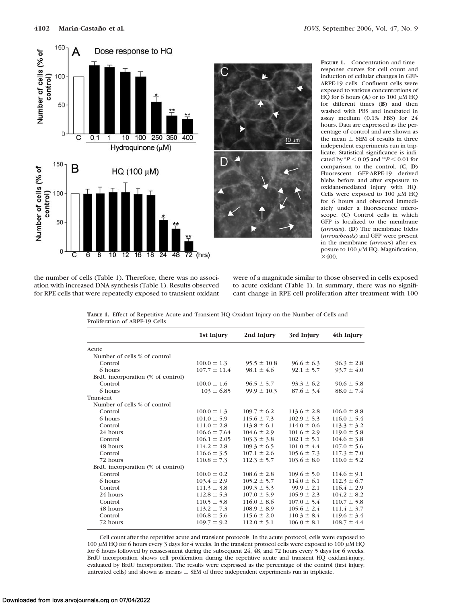

**FIGURE 1.** Concentration and time– response curves for cell count and induction of cellular changes in GFP-ARPE-19 cells. Confluent cells were exposed to various concentrations of HQ for 6 hours (A) or to  $100 \mu M$  HQ for different times (**B**) and then washed with PBS and incubated in assay medium (0.1% FBS) for 24 hours. Data are expressed as the percentage of control and are shown as the mean  $\pm$  SEM of results in three independent experiments run in triplicate. Statistical significance is indicated by  $*P < 0.05$  and  $*P < 0.01$  for comparison to the control. (**C**, **D**) Fluorescent GFP-ARPE-19 derived blebs before and after exposure to oxidant-mediated injury with HQ. Cells were exposed to 100  $\mu$ M HQ for 6 hours and observed immediately under a fluorescence microscope. (**C**) Control cells in which GFP is localized to the membrane (*arrows*). (**D**) The membrane blebs (*arrowheads*) and GFP were present in the membrane (*arrows*) after exposure to 100  $\mu$ M HQ. Magnification,  $\times$ 400.

the number of cells (Table 1). Therefore, there was no association with increased DNA synthesis (Table 1). Results observed for RPE cells that were repeatedly exposed to transient oxidant

were of a magnitude similar to those observed in cells exposed to acute oxidant (Table 1). In summary, there was no significant change in RPE cell proliferation after treatment with 100

 $10 \mu m$ 

**TABLE 1.** Effect of Repetitive Acute and Transient HQ Oxidant Injury on the Number of Cells and Proliferation of ARPE-19 Cells

|                                   | 1st Injury       | 2nd Injury      | 3rd Injury      | 4th Injury      |
|-----------------------------------|------------------|-----------------|-----------------|-----------------|
| Acute                             |                  |                 |                 |                 |
| Number of cells % of control      |                  |                 |                 |                 |
| Control                           | $100.0 \pm 1.3$  | $95.5 \pm 10.8$ | $96.6 \pm 6.3$  | $96.3 \pm 2.8$  |
| 6 hours                           | $107.7 \pm 11.4$ | $98.1 \pm 4.6$  | $92.1 \pm 5.7$  | $93.7 \pm 4.0$  |
| BrdU incorporation (% of control) |                  |                 |                 |                 |
| Control                           | $100.0 \pm 1.6$  | $96.5 \pm 5.7$  | $93.3 \pm 6.2$  | $90.6 \pm 5.8$  |
| 6 hours                           | $103 \pm 6.85$   | $99.9 \pm 10.3$ | $87.6 \pm 3.4$  | $88.0 \pm 7.4$  |
| Transient                         |                  |                 |                 |                 |
| Number of cells % of control      |                  |                 |                 |                 |
| Control                           | $100.0 \pm 1.3$  | $109.7 \pm 6.2$ | $113.6 \pm 2.8$ | $106.0 \pm 8.8$ |
| 6 hours                           | $101.0 \pm 5.9$  | $115.6 \pm 7.3$ | $102.9 \pm 5.3$ | $116.0 \pm 5.4$ |
| Control                           | $111.0 \pm 2.8$  | $113.8 \pm 6.1$ | $114.0 \pm 0.6$ | $113.3 \pm 3.2$ |
| 24 hours                          | $106.6 \pm 7.64$ | $104.6 \pm 2.9$ | $101.6 \pm 2.9$ | $119.0 \pm 5.8$ |
| Control                           | $106.1 \pm 2.05$ | $103.3 \pm 3.8$ | $102.1 \pm 5.1$ | $104.6 \pm 3.8$ |
| 48 hours                          | $114.2 \pm 2.8$  | $109.3 \pm 6.5$ | $101.0 \pm 4.4$ | $107.0 \pm 5.6$ |
| Control                           | $116.6 \pm 3.5$  | $107.1 \pm 2.6$ | $105.6 \pm 7.3$ | $117.3 \pm 7.0$ |
| 72 hours                          | $110.8 \pm 7.3$  | $112.3 \pm 5.7$ | $103.6 \pm 8.0$ | $110.0 \pm 5.2$ |
| BrdU incorporation (% of control) |                  |                 |                 |                 |
| Control                           | $100.0 \pm 0.2$  | $108.6 \pm 2.8$ | $109.6 \pm 5.0$ | $114.6 \pm 9.1$ |
| 6 hours                           | $103.4 \pm 2.9$  | $105.2 \pm 5.7$ | $114.0 \pm 6.1$ | $112.3 \pm 6.7$ |
| Control                           | $111.3 \pm 3.8$  | $109.3 \pm 5.3$ | $99.9 \pm 2.1$  | $116.4 \pm 2.9$ |
| 24 hours                          | $112.8 \pm 5.3$  | $107.0 \pm 5.9$ | $105.9 \pm 2.3$ | $104.2 \pm 8.2$ |
| Control                           | $110.5 \pm 5.8$  | $116.0 \pm 8.6$ | $107.0 \pm 5.4$ | $110.7 \pm 5.8$ |
| 48 hours                          | $113.2 \pm 7.3$  | $108.9 \pm 8.9$ | $105.6 \pm 2.4$ | $111.4 \pm 3.7$ |
| Control                           | $106.8 \pm 5.6$  | $115.6 \pm 2.0$ | $110.3 \pm 8.4$ | $119.6 \pm 3.4$ |
| 72 hours                          | $109.7 \pm 9.2$  | $112.0 \pm 5.1$ | $106.0 \pm 8.1$ | $108.7 \pm 4.4$ |

Cell count after the repetitive acute and transient protocols. In the acute protocol, cells were exposed to 100  $\mu$ M HQ for 6 hours every 3 days for 4 weeks. In the transient protocol cells were exposed to 100  $\mu$ M HQ for 6 hours followed by reassessment during the subsequent 24, 48, and 72 hours every 5 days for 6 weeks. BrdU incorporation shows cell proliferation during the repetitive acute and transient HQ oxidant-injury, evaluated by BrdU incorporation. The results were expressed as the percentage of the control (first injury; untreated cells) and shown as means  $\pm$  SEM of three independent experiments run in triplicate.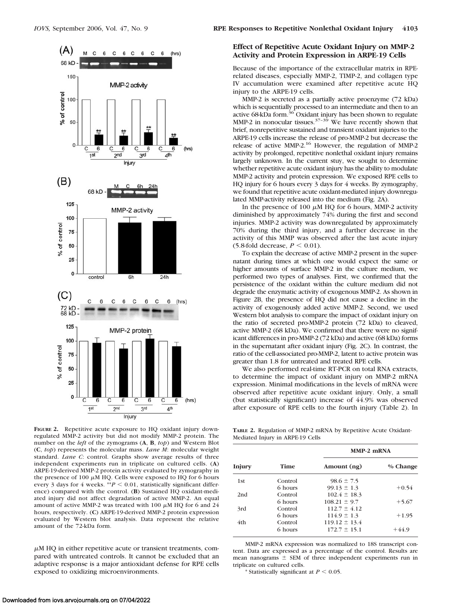

**FIGURE 2.** Repetitive acute exposure to HQ oxidant injury downregulated MMP-2 activity but did not modify MMP-2 protein. The number on the *left* of the zymograms (**A**, **B**, *top*) and Western Blot (**C**, *top*) represents the molecular mass. *Lane M*: molecular weight standard. *Lane C*: control. Graphs show average results of three independent experiments run in triplicate on cultured cells. (**A**) ARPE-19-derived MMP-2 protein activity evaluated by zymography in the presence of 100  $\mu$ M HQ. Cells were exposed to HQ for 6 hours every 3 days for 4 weeks.  $*^*P < 0.01$ , statistically significant difference) compared with the control. (**B**) Sustained HQ oxidant-mediated injury did not affect degradation of active MMP-2. An equal amount of active MMP-2 was treated with 100  $\mu$ M HQ for 6 and 24 hours, respectively. (**C**) ARPE-19-derived MMP-2 protein expression evaluated by Western blot analysis. Data represent the relative amount of the 72-kDa form.

 $\mu$ M HQ in either repetitive acute or transient treatments, compared with untreated controls. It cannot be excluded that an adaptive response is a major antioxidant defense for RPE cells exposed to oxidizing microenvironments.

# **Effect of Repetitive Acute Oxidant Injury on MMP-2 Activity and Protein Expression in ARPE-19 Cells**

Because of the importance of the extracellular matrix in RPErelated diseases, especially MMP-2, TIMP-2, and collagen type IV accumulation were examined after repetitive acute HQ injury to the ARPE-19 cells.

MMP-2 is secreted as a partially active proenzyme (72 kDa) which is sequentially processed to an intermediate and then to an active 68-kDa form.<sup>36</sup> Oxidant injury has been shown to regulate MMP-2 in nonocular tissues. $37-39$  We have recently shown that brief, nonrepetitive sustained and transient oxidant injuries to the ARPE-19 cells increase the release of pro-MMP-2 but decrease the release of active MMP-2.16 However, the regulation of MMP-2 activity by prolonged, repetitive nonlethal oxidant injury remains largely unknown. In the current stuy, we sought to determine whether repetitive acute oxidant injury has the ability to modulate MMP-2 activity and protein expression. We exposed RPE cells to HQ injury for 6 hours every 3 days for 4 weeks. By zymography, we found that repetitive acute oxidant-mediated injury downregulated MMP-activity released into the medium (Fig. 2A).

In the presence of 100  $\mu$ M HQ for 6 hours, MMP-2 activity diminished by approximately 74% during the first and second injuries. MMP-2 activity was downregulated by approximately 70% during the third injury, and a further decrease in the activity of this MMP was observed after the last acute injury (5.8-fold decrease,  $P < 0.01$ ).

To explain the decrease of active MMP-2 present in the supernatant during times at which one would expect the same or higher amounts of surface MMP-2 in the culture medium, we performed two types of analyses. First, we confirmed that the persistence of the oxidant within the culture medium did not degrade the enzymatic activity of exogenous MMP-2. As shown in Figure 2B, the presence of HQ did not cause a decline in the activity of exogenously added active MMP-2. Second, we used Western blot analysis to compare the impact of oxidant injury on the ratio of secreted pro-MMP-2 protein (72 kDa) to cleaved, active MMP-2 (68 kDa). We confirmed that there were no significant differences in pro-MMP-2 (72 kDa) and active (68 kDa) forms in the supernatant after oxidant injury (Fig. 2C). In contrast, the ratio of the cell-associated pro-MMP-2, latent to active protein was greater than 1.8 for untreated and treated RPE cells.

We also performed real-time RT-PCR on total RNA extracts, to determine the impact of oxidant injury on MMP-2 mRNA expression. Minimal modifications in the levels of mRNA were observed after repetitive acute oxidant injury. Only, a small (but statistically significant) increase of 44.9% was observed after exposure of RPE cells to the fourth injury (Table 2). In

**TABLE 2.** Regulation of MMP-2 mRNA by Repetitive Acute Oxidant-Mediated Injury in ARPE-19 Cells

| Injury |         | MMP-2 mRNA        |          |  |  |
|--------|---------|-------------------|----------|--|--|
|        | Time    | Amount (ng)       | % Change |  |  |
| 1st    | Control | $98.6 \pm 7.5$    |          |  |  |
|        | 6 hours | $99.13 \pm 1.3$   | $+0.54$  |  |  |
| 2nd    | Control | $102.4 \pm 18.3$  |          |  |  |
|        | 6 hours | $108.21 \pm 9.7$  | $+5.67$  |  |  |
| 3rd    | Control | $112.7 \pm 4.12$  |          |  |  |
|        | 6 hours | $114.9 \pm 1.3$   | $+1.95$  |  |  |
| 4th    | Control | $119.12 \pm 13.4$ |          |  |  |
|        | 6 hours | $172.7 \pm 15.1$  | $+44.9$  |  |  |

MMP-2 mRNA expression was normalized to 18S transcript content. Data are expressed as a percentage of the control. Results are mean nanograms  $\pm$  SEM of three independent experiments run in triplicate on cultured cells.

\* Statistically significant at  $P \leq 0.05$ .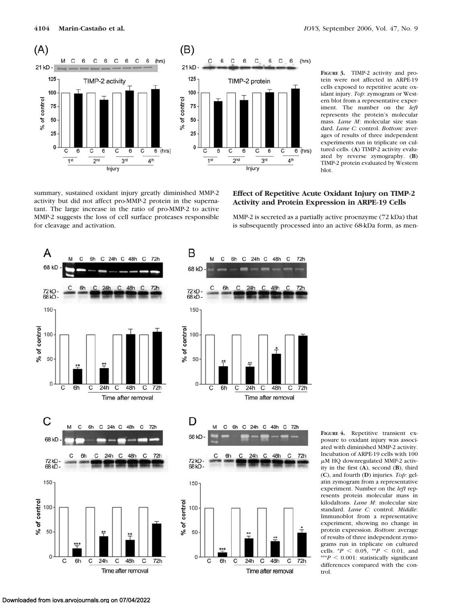

**FIGURE 3.** TIMP-2 activity and protein were not affected in ARPE-19 cells exposed to repetitive acute oxidant injury. *Top*: zymogram or Western blot from a representative experiment. The number on the *left* represents the protein's molecular mass. *Lane M*: molecular size standard. *Lane C*: control. *Bottom*: averages of results of three independent experiments run in triplicate on cultured cells. (**A**) TIMP-2 activity evaluated by reverse zymography. (**B**) TIMP-2 protein evaluated by Western blot.

summary, sustained oxidant injury greatly diminished MMP-2 activity but did not affect pro-MMP-2 protein in the supernatant. The large increase in the ratio of pro-MMP-2 to active MMP-2 suggests the loss of cell surface proteases responsible for cleavage and activation.

# **Effect of Repetitive Acute Oxidant Injury on TIMP-2 Activity and Protein Expression in ARPE-19 Cells**

MMP-2 is secreted as a partially active proenzyme (72 kDa) that is subsequently processed into an active 68-kDa form, as men-



**FIGURE 4.** Repetitive transient exposure to oxidant injury was associated with diminished MMP-2 activity. Incubation of ARPE-19 cells with 100  $\mu$ M HO downregulated MMP-2 activity in the first (**A**), second (**B**), third (**C**), and fourth (**D**) injuries. *Top*: gelatin zymogram from a representative experiment. Number on the *left* represents protein molecular mass in kilodaltons. *Lane M*: molecular size standard. *Lane C*: control. *Middle*: Immunoblot from a representative experiment, showing no change in protein expression. *Bottom*: average of results of three independent zymograms run in triplicate on cultured cells.  ${}^*P$  < 0.05,  ${}^{**}P$  < 0.01, and  $***P < 0.001$ : statistically significant differences compared with the control.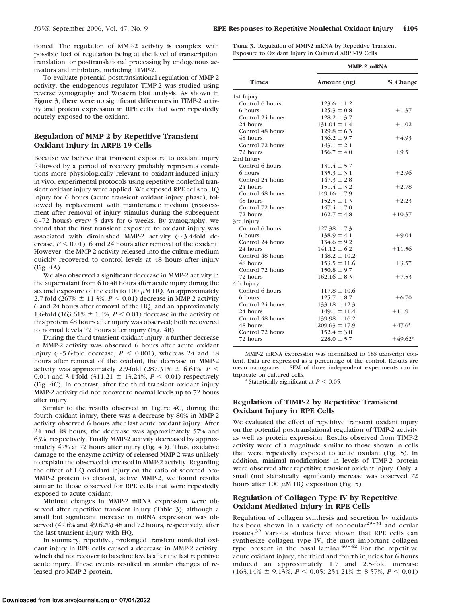tioned. The regulation of MMP-2 activity is complex with possible loci of regulation being at the level of transcription, translation, or posttranslational processing by endogenous activators and inhibitors, including TIMP-2.

To evaluate potential posttranslational regulation of MMP-2 activity, the endogenous regulator TIMP-2 was studied using reverse zymography and Western blot analysis. As shown in Figure 3, there were no significant differences in TIMP-2 activity and protein expression in RPE cells that were repeatedly acutely exposed to the oxidant.

### **Regulation of MMP-2 by Repetitive Transient Oxidant Injury in ARPE-19 Cells**

Because we believe that transient exposure to oxidant injury followed by a period of recovery probably represents conditions more physiologically relevant to oxidant-induced injury in vivo, experimental protocols using repetitive nonlethal transient oxidant injury were applied. We exposed RPE cells to HQ injury for 6 hours (acute transient oxidant injury phase), followed by replacement with maintenance medium (reassessment after removal of injury stimulus during the subsequent 6 –72 hours) every 5 days for 6 weeks. By zymography, we found that the first transient exposure to oxidant injury was associated with diminished MMP-2 activity  $(\sim$ 3.4-fold decrease,  $P \le 0.01$ ), 6 and 24 hours after removal of the oxidant. However, the MMP-2 activity released into the culture medium quickly recovered to control levels at 48 hours after injury (Fig. 4A).

We also observed a significant decrease in MMP-2 activity in the supernatant from 6 to 48 hours after acute injury during the second exposure of the cells to 100  $\mu$ M HQ. An approximately 2.7-fold (267%  $\pm$  11.3%, *P* < 0.01) decrease in MMP-2 activity 6 and 24 hours after removal of the HQ, and an approximately 1.6-fold (163.61%  $\pm$  1.4%, *P* < 0.01) decrease in the activity of this protein 48 hours after injury was observed; both recovered to normal levels 72 hours after injury (Fig. 4B).

During the third transient oxidant injury, a further decrease in MMP-2 activity was observed 6 hours after acute oxidant injury ( $\sim$ 5.6-fold decrease,  $P \le 0.001$ ), whereas 24 and 48 hours after removal of the oxidant, the decrease in MMP-2 activity was approximately 2.9-fold  $(287.31\% \pm 6.61\%; P \leq$ 0.01) and 3.1-fold  $(311.21 \pm 13.24\%, P \le 0.01)$  respectively (Fig. 4C). In contrast, after the third transient oxidant injury MMP-2 activity did not recover to normal levels up to 72 hours after injury.

Similar to the results observed in Figure 4C, during the fourth oxidant injury, there was a decrease by 80% in MMP-2 activity observed 6 hours after last acute oxidant injury. After 24 and 48 hours, the decrease was approximately 57% and 63%, respectively. Finally MMP-2 activity decreased by approximately 47% at 72 hours after injury (Fig. 4D). Thus, oxidative damage to the enzyme activity of released MMP-2 was unlikely to explain the observed decreased in MMP-2 activity. Regarding the effect of HQ oxidant injury on the ratio of secreted pro-MMP-2 protein to cleaved, active MMP-2, we found results similar to those observed for RPE cells that were repeatedly exposed to acute oxidant.

Minimal changes in MMP-2 mRNA expression were observed after repetitive transient injury (Table 3), although a small but significant increase in mRNA expression was observed (47.6% and 49.62%) 48 and 72 hours, respectively, after the last transient injury with HQ.

In summary, repetitive, prolonged transient nonlethal oxidant injury in RPE cells caused a decrease in MMP-2 activity, which did not recover to baseline levels after the last repetitive acute injury. These events resulted in similar changes of released pro-MMP-2 protein.

**TABLE 3.** Regulation of MMP-2 mRNA by Repetitive Transient Exposure to Oxidant Injury in Cultured ARPE-19 Cells

|                  | MMP-2 mRNA        |           |  |  |
|------------------|-------------------|-----------|--|--|
| <b>Times</b>     | Amount (ng)       | % Change  |  |  |
| 1st Injury       |                   |           |  |  |
| Control 6 hours  | $123.6 \pm 1.2$   |           |  |  |
| 6 hours          | $125.3 \pm 0.8$   | $+1.37$   |  |  |
| Control 24 hours | $128.2 \pm 3.7$   |           |  |  |
| 24 hours         | $131.04 \pm 1.4$  | $+1.02$   |  |  |
| Control 48 hours | $129.8 \pm 6.3$   |           |  |  |
| 48 hours         | $136.2 \pm 9.7$   | $+4.93$   |  |  |
| Control 72 hours | $143.1 \pm 2.1$   |           |  |  |
| 72 hours         | $156.7 \pm 4.0$   | $+9.5$    |  |  |
| 2nd Injury       |                   |           |  |  |
| Control 6 hours  | $131.4 \pm 5.7$   |           |  |  |
| 6 hours          | $135.3 \pm 3.1$   | $+2.96$   |  |  |
| Control 24 hours | $147.3 \pm 2.8$   |           |  |  |
| 24 hours         | $151.4 \pm 3.2$   | $+2.78$   |  |  |
| Control 48 hours | $149.16 \pm 7.9$  |           |  |  |
| 48 hours         | $152.5 \pm 1.3$   | $+2.23$   |  |  |
| Control 72 hours | $147.4 \pm 7.0$   |           |  |  |
| 72 hours         | $162.7 \pm 4.8$   | $+10.37$  |  |  |
| 3rd Injury       |                   |           |  |  |
| Control 6 hours  | $127.38 \pm 7.3$  |           |  |  |
| 6 hours          | $138.9 \pm 4.1$   | $+9.04$   |  |  |
| Control 24 hours | $134.6 \pm 9.2$   |           |  |  |
| 24 hours         | $141.12 \pm 6.2$  | $+11.56$  |  |  |
| Control 48 hours | $148.2 \pm 10.2$  |           |  |  |
| 48 hours         | $153.5 \pm 11.6$  | $+3.57$   |  |  |
| Control 72 hours | $150.8 \pm 9.7$   |           |  |  |
| 72 hours         | $162.16 \pm 8.3$  | $+7.53$   |  |  |
| 4th Injury       |                   |           |  |  |
| Control 6 hours  | $117.8 \pm 10.6$  |           |  |  |
| 6 hours          | $125.7 \pm 8.7$   | $+6.70$   |  |  |
| Control 24 hours | $133.18 \pm 12.3$ |           |  |  |
| 24 hours         | $149.1 \pm 11.4$  | $+11.9$   |  |  |
| Control 48 hours | $139.98 \pm 16.2$ |           |  |  |
| 48 hours         | $209.63 \pm 17.9$ | $+47.6*$  |  |  |
| Control 72 hours | $152.4 \pm 3.8$   |           |  |  |
| 72 hours         | $228.0 \pm 5.7$   | $+49.62*$ |  |  |
|                  |                   |           |  |  |

MMP-2 mRNA expression was normalized to 18S transcript content. Data are expressed as a percentage of the control. Results are mean nanograms  $\pm$  SEM of three independent experiments run in triplicate on cultured cells.

\* Statistically significant at  $P \leq 0.05$ .

# **Regulation of TIMP-2 by Repetitive Transient Oxidant Injury in RPE Cells**

We evaluated the effect of repetitive transient oxidant injury on the potential posttranslational regulation of TIMP-2 activity as well as protein expression. Results observed from TIMP-2 activity were of a magnitude similar to those shown in cells that were repeatedly exposed to acute oxidant (Fig. 5). In addition, minimal modifications in levels of TIMP-2 protein were observed after repetitive transient oxidant injury. Only, a small (not statistically significant) increase was observed 72 hours after 100  $\mu$ M HQ exposition (Fig. 5).

# **Regulation of Collagen Type IV by Repetitive Oxidant-Mediated Injury in RPE Cells**

Regulation of collagen synthesis and secretion by oxidants has been shown in a variety of nonocular<sup>29-31</sup> and ocular tissues.<sup>32</sup> Various studies have shown that RPE cells can synthesize collagen type IV, the most important collagen type present in the basal lamina.<sup>40-42</sup> For the repetitive acute oxidant injury, the third and fourth injuries for 6 hours induced an approximately 1.7 and 2.5-fold increase  $(163.14\% \pm 9.13\%, P < 0.05; 254.21\% \pm 8.57\%, P < 0.01)$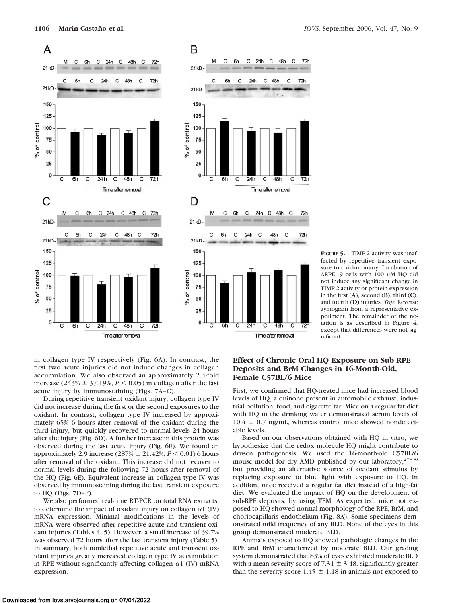

 $\mathsf{C}$ 

C  $72h$ 

> Ċ  $72h$

C  $72h$ 

C

72h

 $72h$ 

**FIGURE 5.** TIMP-2 activity was unaffected by repetitive transient exposure to oxidant injury. Incubation of ARPE-19 cells with 100  $\mu$ M HQ did not induce any significant change in TIMP-2 activity or protein expression in the first (**A**), second (**B**), third (**C**), and fourth (**D**) injuries. *Top*: Reverse zymogram from a representative experiment. The remainder of the notation is as described in Figure 4, except that differences were not significant.

in collagen type IV respectively (Fig. 6A). In contrast, the first two acute injuries did not induce changes in collagen accumulation. We also observed an approximately 2.4-fold increase (243%  $\pm$  37.19%, *P* < 0.05) in collagen after the last acute injury by immunostaining (Figs. 7A–C).

During repetitive transient oxidant injury, collagen type IV did not increase during the first or the second exposures to the oxidant. In contrast, collagen type IV increased by approximately 65% 6 hours after removal of the oxidant during the third injury, but quickly recovered to normal levels 24 hours after the injury (Fig. 6D). A further increase in this protein was observed during the last acute injury (Fig. 6E). We found an approximately 2.9 increase (287%  $\pm$  21.42%,  $P \le 0.01$ ) 6 hours after removal of the oxidant. This increase did not recover to normal levels during the following 72 hours after removal of the HQ (Fig. 6E). Equivalent increase in collagen type IV was observed by immunostaining during the last transient exposure to HQ (Figs. 7D–F).

We also performed real-time RT-PCR on total RNA extracts, to determine the impact of oxidant injury on collagen  $\alpha$ 1 (IV) mRNA expression. Minimal modifications in the levels of mRNA were observed after repetitive acute and transient oxidant injuries (Tables 4, 5). However, a small increase of 39.7% was observed 72 hours after the last transient injury (Table 5). In summary, both nonlethal repetitive acute and transient oxidant injuries greatly increased collagen type IV accumulation in RPE without significantly affecting collagen  $\alpha$ 1 (IV) mRNA expression.

# **Effect of Chronic Oral HQ Exposure on Sub-RPE Deposits and BrM Changes in 16-Month-Old, Female C57BL/6 Mice**

First, we confirmed that HQ-treated mice had increased blood levels of HQ, a quinone present in automobile exhaust, industrial pollution, food, and cigarette tar. Mice on a regular fat diet with HQ in the drinking water demonstrated serum levels of  $10.4 \pm 0.7$  ng/mL, whereas control mice showed nondetectable levels.

Based on our observations obtained with HQ in vitro, we hypothesize that the redox molecule HQ might contribute to drusen pathogenesis. We used the 16-month-old C57BL/6 mouse model for dry AMD published by our laboratory,<sup>27-30</sup> but providing an alternative source of oxidant stimulus by replacing exposure to blue light with exposure to HQ. In addition, mice received a regular fat diet instead of a high-fat diet. We evaluated the impact of HQ on the development of sub-RPE deposits, by using TEM. As expected, mice not exposed to HQ showed normal morphology of the RPE, BrM, and choriocapillaris endothelium (Fig. 8A). Some specimens demonstrated mild frequency of any BLD. None of the eyes in this group demonstrated moderate BLD.

Animals exposed to HQ showed pathologic changes in the RPE and BrM characterized by moderate BLD. Our grading system demonstrated that 83% of eyes exhibited moderate BLD with a mean severity score of  $7.31 \pm 3.48$ , significantly greater than the severity score 1.45  $\pm$  1.18 in animals not exposed to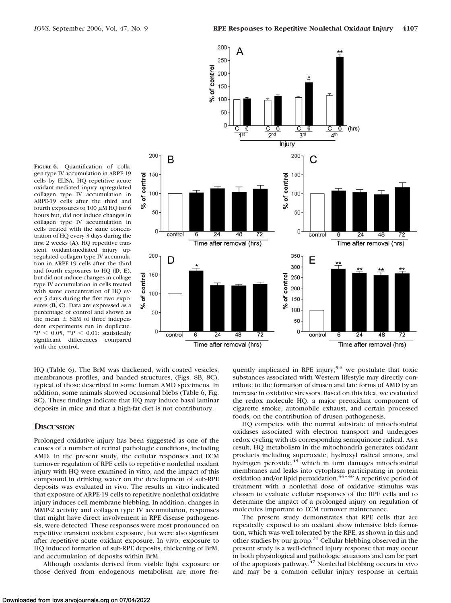**FIGURE 6.** Quantification of collagen type IV accumulation in ARPE-19 cells by ELISA. HQ repetitive acute oxidant-mediated injury upregulated collagen type IV accumulation in ARPE-19 cells after the third and fourth exposures to 100  $\mu$ M HQ for 6 hours but, did not induce changes in collagen type IV accumulation in cells treated with the same concentration of HQ every 3 days during the first 2 weeks (**A**). HQ repetitive transient oxidant-mediated injury upregulated collagen type IV accumulation in ARPE-19 cells after the third and fourth exposures to HQ (**D**, **E**), but did not induce changes in collage type IV accumulation in cells treated with same concentration of HQ every 5 days during the first two exposures (**B**, **C**). Data are expressed as a percentage of control and shown as the mean  $\pm$  SEM of three independent experiments run in duplicate.  $*P < 0.05$ ,  $*P < 0.01$ : statistically significant differences compared with the control.



HQ (Table 6). The BrM was thickened, with coated vesicles, membranous profiles, and banded structures, (Figs. 8B, 8C), typical of those described in some human AMD specimens. In addition, some animals showed occasional blebs (Table 6, Fig. 8C). These findings indicate that HQ may induce basal laminar deposits in mice and that a high-fat diet is not contributory.

#### **DISCUSSION**

Prolonged oxidative injury has been suggested as one of the causes of a number of retinal pathologic conditions, including AMD. In the present study, the cellular responses and ECM turnover regulation of RPE cells to repetitive nonlethal oxidant injury with HQ were examined in vitro, and the impact of this compound in drinking water on the development of sub-RPE deposits was evaluated in vivo. The results in vitro indicated that exposure of ARPE-19 cells to repetitive nonlethal oxidative injury induces cell membrane blebbing. In addition, changes in MMP-2 activity and collagen type IV accumulation, responses that might have direct involvement in RPE disease pathogenesis, were detected. These responses were most pronounced on repetitive transient oxidant exposure, but were also significant after repetitive acute oxidant exposure. In vivo, exposure to HQ induced formation of sub-RPE deposits, thickening of BrM, and accumulation of deposits within BrM.

Although oxidants derived from visible light exposure or those derived from endogenous metabolism are more frequently implicated in RPE injury,<sup>5,6</sup> we postulate that toxic substances associated with Western lifestyle may directly contribute to the formation of drusen and late forms of AMD by an increase in oxidative stressors. Based on this idea, we evaluated the redox molecule HQ, a major preoxidant component of cigarette smoke, automobile exhaust, and certain processed foods, on the contribution of drusen pathogenesis.

HQ competes with the normal substrate of mitochondrial oxidases associated with electron transport and undergoes redox cycling with its corresponding semiquinone radical. As a result, HQ metabolism in the mitochondria generates oxidant products including superoxide, hydroxyl radical anions, and hydrogen peroxide, $43$  which in turn damages mitochondrial membranes and leaks into cytoplasm participating in protein oxidation and/or lipid peroxidation.<sup>44-46</sup> A repetitive period of treatment with a nonlethal dose of oxidative stimulus was chosen to evaluate cellular responses of the RPE cells and to determine the impact of a prolonged injury on regulation of molecules important to ECM turnover maintenance.

The present study demonstrates that RPE cells that are repeatedly exposed to an oxidant show intensive bleb formation, which was well tolerated by the RPE, as shown in this and other studies by our group.<sup>31</sup> Cellular blebbing observed in the present study is a well-defined injury response that may occur in both physiological and pathologic situations and can be part of the apoptosis pathway.47 Nonlethal blebbing occurs in vivo and may be a common cellular injury response in certain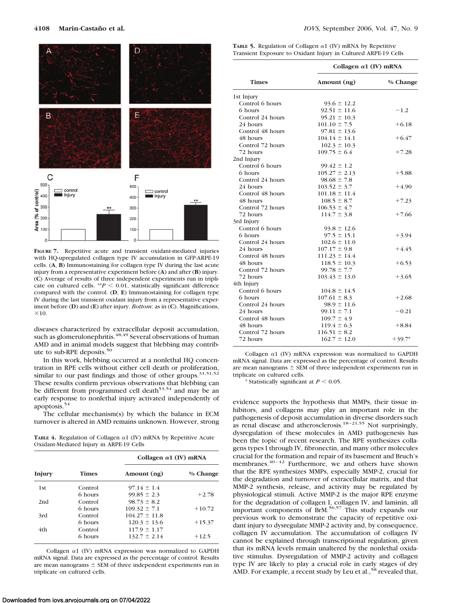

**FIGURE 7.** Repetitive acute and transient oxidant-mediated injuries with HQ-upregulated collagen type IV accumulation in GFP-ARPE-19 cells. (**A**, **B**) Immunostaining for collagen type IV during the last acute injury from a representative experiment before (**A**) and after (**B**) injury. (**C**) Average of results of three independent experiments run in triplicate on cultured cells.  $^{**}P < 0.01$ , statistically significant difference compared with the control. (**D**, **E**) Immunostaining for collagen type IV during the last transient oxidant injury from a representative experiment before (**D**) and (**E**) after injury. *Bottom*: as in (**C**). Magnifications,  $\times 10$ .

diseases characterized by extracellular deposit accumulation, such as glomerulonephritis.<sup>48,49</sup> Several observations of human AMD and in animal models suggest that blebbing may contribute to sub-RPE deposits.50

In this work, blebbing occurred at a nonlethal HQ concentration in RPE cells without either cell death or proliferation, similar to our past findings and those of other groups.<sup>31,51,52</sup> These results confirm previous observations that blebbing can be different from programmed cell death<sup>53,54</sup> and may be an early response to nonlethal injury activated independently of apoptosis.54

The cellular mechanism(s) by which the balance in ECM turnover is altered in AMD remains unknown. However, strong

**TABLE 4.** Regulation of Collagen  $\alpha$ 1 (IV) mRNA by Repetitive Acute Oxidant-Mediated Injury in ARPE-19 Cells

|        |         | Collagen $\alpha$ 1 (IV) mRNA |          |  |  |
|--------|---------|-------------------------------|----------|--|--|
| Injury | Times   | Amount (ng)                   | % Change |  |  |
| 1st    | Control | $97.14 \pm 1.4$               |          |  |  |
|        | 6 hours | $99.85 \pm 2.3$               | $+2.78$  |  |  |
| 2nd    | Control | $98.73 \pm 8.2$               |          |  |  |
|        | 6 hours | $109.32 \pm 7.1$              | $+10.72$ |  |  |
| 3rd    | Control | $104.27 \pm 11.8$             |          |  |  |
|        | 6 hours | $120.3 \pm 13.6$              | $+15.37$ |  |  |
| 4th    | Control | $117.9 \pm 1.17$              |          |  |  |
|        | 6 hours | $132.7 \pm 2.14$              | $+12.5$  |  |  |

Collagen  $\alpha$ 1 (IV) mRNA expression was normalized to GAPDH mRNA signal. Data are expressed as the percentage of control. Results are mean nanograms  $\pm$  SEM of three independent experiments run in triplicate on cultured cells.

| <b>TABLE 5.</b> Regulation of Collagen $\alpha$ 1 (IV) mRNA by Repetitive |  |  |
|---------------------------------------------------------------------------|--|--|
| Transient Exposure to Oxidant Injury in Cultured ARPE-19 Cells            |  |  |

|                  | Collagen $\alpha$ 1 (IV) mRNA |          |  |  |
|------------------|-------------------------------|----------|--|--|
| <b>Times</b>     | Amount (ng)                   | % Change |  |  |
| 1st Injury       |                               |          |  |  |
| Control 6 hours  | $93.6 \pm 12.2$               |          |  |  |
| 6 hours          | $92.51 \pm 11.6$              | $-1.2$   |  |  |
| Control 24 hours | $95.21 \pm 10.3$              |          |  |  |
| 24 hours         | $101.10 \pm 7.5$              | $+6.18$  |  |  |
| Control 48 hours | $97.81 \pm 13.6$              |          |  |  |
| 48 hours         | $104.14 \pm 14.1$             | $+6.47$  |  |  |
| Control 72 hours | $102.3 \pm 10.3$              |          |  |  |
| 72 hours         | $109.75 \pm 6.4$              | $+7.28$  |  |  |
| 2nd Injury       |                               |          |  |  |
| Control 6 hours  | $99.42 \pm 1.2$               |          |  |  |
| 6 hours          | $105.27 \pm 2.13$             | $+5.88$  |  |  |
| Control 24 hours | $98.68 \pm 7.8$               |          |  |  |
| 24 hours         | $103.52 \pm 3.7$              | $+4.90$  |  |  |
| Control 48 hours | $101.18 \pm 11.4$             |          |  |  |
| 48 hours         | $108.5 \pm 8.7$               | $+7.23$  |  |  |
| Control 72 hours | $106.53 \pm 4.7$              |          |  |  |
| 72 hours         | $114.7 \pm 3.8$               | $+7.66$  |  |  |
| 3rd Injury       |                               |          |  |  |
| Control 6 hours  | $93.8 \pm 12.6$               |          |  |  |
| 6 hours          | $97.5 \pm 15.1$               | $+3.94$  |  |  |
| Control 24 hours | $102.6 \pm 11.0$              |          |  |  |
| 24 hours         | $107.17 \pm 9.8$              | $+4.45$  |  |  |
| Control 48 hours | $111.23 \pm 14.4$             |          |  |  |
| 48 hours         | $118.5 \pm 10.3$              | $+6.53$  |  |  |
| Control 72 hours | $99.78 \pm 7.7$               |          |  |  |
| 72 hours         | $103.43 \pm 13.0$             | $+3.65$  |  |  |
| 4th Injury       |                               |          |  |  |
| Control 6 hours  | $104.8 \pm 14.5$              |          |  |  |
| 6 hours          | $107.61 \pm 8.3$              | $+2.68$  |  |  |
| Control 24 hours | $98.9 \pm 11.6$               |          |  |  |
| 24 hours         | $99.11 \pm 7.1$               | $-0.21$  |  |  |
| Control 48 hours | $109.7 \pm 4.9$               |          |  |  |
| 48 hours         | $119.4 \pm 6.3$               | $+8.84$  |  |  |
| Control 72 hours | $116.51 \pm 8.2$              |          |  |  |
| 72 hours         | $162.7 \pm 12.0$              | $+39.7*$ |  |  |
|                  |                               |          |  |  |

Collagen  $\alpha$ 1 (IV) mRNA expression was normalized to GAPDH mRNA signal. Data are expressed as the percentage of control. Results are mean nanograms  $\pm$  SEM of three independent experiments run in triplicate on cultured cells.

\* Statistically significant at  $P < 0.05$ .

evidence supports the hypothesis that MMPs, their tissue inhibitors, and collagens may play an important role in the pathogenesis of deposit accumulation in diverse disorders such as renal disease and atherosclerosis.<sup>18-21,55</sup> Not surprisingly, dysregulation of these molecules in AMD pathogenesis has been the topic of recent research. The RPE synthesizes collagens types I through IV, fibronectin, and many other molecules crucial for the formation and repair of its basement and Bruch's membranes. $40 - 42$  Furthermore, we and others have shown that the RPE synthesizes MMPs, especially MMP-2, crucial for the degradation and turnover of extracellular matrix, and that MMP-2 synthesis, release, and activity may be regulated by physiological stimuli. Active MMP-2 is the major RPE enzyme for the degradation of collagen I, collagen IV, and laminin, all important components of BrM.56,57 This study expands our previous work to demonstrate the capacity of repetitive oxidant injury to dysregulate MMP-2 activity and, by consequence, collagen IV accumulation. The accumulation of collagen IV cannot be explained through transcriptional regulation, given that its mRNA levels remain unaltered by the nonlethal oxidative stimulus. Dysregulation of MMP-2 activity and collagen type IV are likely to play a crucial role in early stages of dry AMD. For example, a recent study by Leu et al.,<sup>58</sup> revealed that,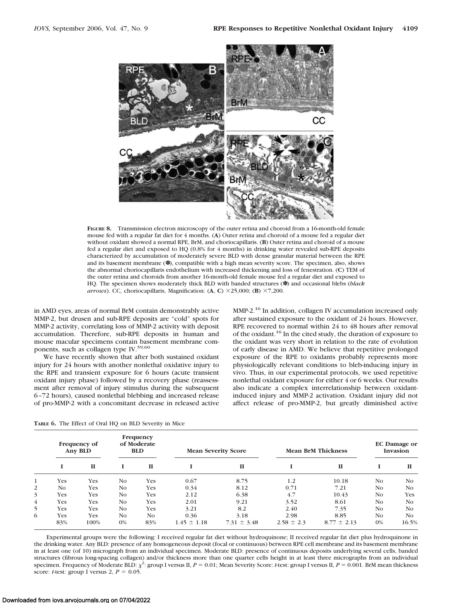

**FIGURE 8.** Transmission electron microscopy of the outer retina and choroid from a 16-month-old female mouse fed with a regular fat diet for 4 months. (**A**) Outer retina and choroid of a mouse fed a regular diet without oxidant showed a normal RPE, BrM, and choriocapillaris. (**B**) Outer retina and choroid of a mouse fed a regular diet and exposed to HQ (0.8% for 4 months) in drinking water revealed sub-RPE deposits characterized by accumulation of moderately severe BLD with dense granular material between the RPE and its basement membrane (✽), compatible with a high mean severity score. The specimen, also, shows the abnormal choriocapillaris endothelium with increased thickening and loss of fenestration. (**C**) TEM of the outer retina and choroids from another 16-month-old female mouse fed a regular diet and exposed to HQ. The specimen shows moderately thick BLD with banded structures (✽) and occasional blebs (*black arrows*). CC, choriocapillaris, Magnification:  $(A, C) \times 25,000$ ;  $(B) \times 7,200$ .

in AMD eyes, areas of normal BrM contain demonstrably active MMP-2, but drusen and sub-RPE deposits are "cold" spots for MMP-2 activity, correlating loss of MMP-2 activity with deposit accumulation. Therefore, sub-RPE deposits in human and mouse macular specimens contain basement membrane components, such as collagen type IV.<sup>59,60</sup>

We have recently shown that after both sustained oxidant injury for 24 hours with another nonlethal oxidative injury to the RPE and transient exposure for 6 hours (acute transient oxidant injury phase) followed by a recovery phase (reassessment after removal of injury stimulus during the subsequent 6 –72 hours), caused nonlethal blebbing and increased release of pro-MMP-2 with a concomitant decrease in released active MMP-2.<sup>16</sup> In addition, collagen IV accumulation increased only after sustained exposure to the oxidant of 24 hours. However, RPE recovered to normal within 24 to 48 hours after removal of the oxidant.<sup>16</sup> In the cited study, the duration of exposure to the oxidant was very short in relation to the rate of evolution of early disease in AMD. We believe that repetitive prolonged exposure of the RPE to oxidants probably represents more physiologically relevant conditions to bleb-inducing injury in vivo. Thus, in our experimental protocols, we used repetitive nonlethal oxidant exposure for either 4 or 6 weeks. Our results also indicate a complex interrelationship between oxidantinduced injury and MMP-2 activation. Oxidant injury did not affect release of pro-MMP-2, but greatly diminished active

**TABLE 6.** The Effect of Oral HQ on BLD Severity in Mice

|                | Frequency of<br><b>Any BLD</b> |      |       | Frequency<br>of Moderate<br><b>BLD</b> |                 | <b>Mean Severity Score</b> | <b>Mean BrM Thickness</b> |                 | <b>EC</b> Damage or<br>Invasion |                |
|----------------|--------------------------------|------|-------|----------------------------------------|-----------------|----------------------------|---------------------------|-----------------|---------------------------------|----------------|
|                |                                | п    |       | п                                      |                 | $\mathbf{I}$               |                           | $\mathbf{I}$    |                                 | П              |
| 1              | Yes                            | Yes  | No.   | Yes                                    | 0.67            | 8.75                       | 1.2                       | 10.18           | No.                             | No             |
| 2              | No.                            | Yes  | No.   | Yes                                    | 0.34            | 8.12                       | 0.71                      | 7.21            | N <sub>0</sub>                  | N <sub>O</sub> |
| 3              | Yes                            | Yes  | No.   | Yes                                    | 2.12            | 6.38                       | 4.7                       | 10.43           | No.                             | Yes            |
| $\overline{4}$ | Yes                            | Yes  | No.   | Yes                                    | 2.01            | 9.21                       | 3.52                      | 8.61            | No.                             | N <sub>O</sub> |
| 5              | Yes                            | Yes  | No.   | Yes                                    | 3.21            | 8.2                        | 2.40                      | 7.35            | No.                             | N <sub>O</sub> |
| 6              | Yes                            | Yes  | No.   | No.                                    | 0.36            | 3.18                       | 2.98                      | 8.85            | No.                             | N <sub>O</sub> |
|                | 83%                            | 100% | $0\%$ | 83%                                    | $1.45 \pm 1.18$ | $7.31 \pm 3.48$            | $2.58 \pm 2.3$            | $8.77 \pm 2.13$ | $0\%$                           | 16.5%          |

Experimental groups were the following: I received regular fat diet without hydroquinone; II received regular fat diet plus hydroquinone in the drinking water. Any BLD: presence of any homogeneous deposit (focal or continuous) between RPE cell membrane and its basement membrane in at least one (of 10) micrograph from an individual specimen. Moderate BLD: presence of continuous deposits underlying several cells, banded structures (fibrous long-spacing collagen) and/or thickness more than one quarter cells height in at least three micrographs from an individual specimen. Frequency of Moderate BLD:  $\chi^2$ : group I versus II,  $P = 0.01$ ; Mean Severity Score: *t*-test: group I versus II,  $P = 0.001$ . BrM mean thickness score: *t*-test: group I versus 2,  $P = 0.05$ .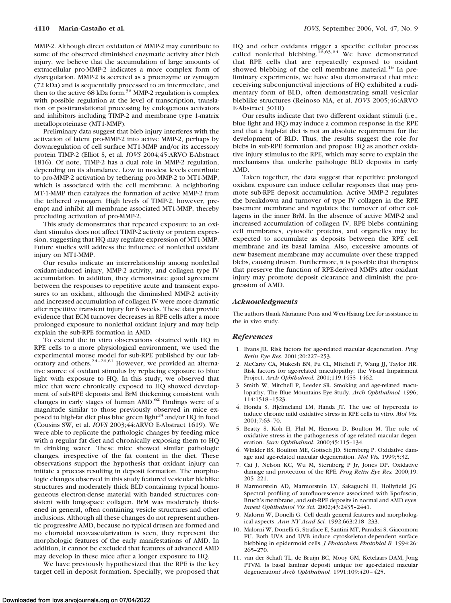MMP-2. Although direct oxidation of MMP-2 may contribute to some of the observed diminished enzymatic activity after bleb injury, we believe that the accumulation of large amounts of extracellular pro-MMP-2 indicates a more complex form of dysregulation. MMP-2 is secreted as a proenzyme or zymogen (72 kDa) and is sequentially processed to an intermediate, and then to the active 68 kDa form.<sup>36</sup> MMP-2 regulation is complex with possible regulation at the level of transcription, translation or posttranslational processing by endogenous activators and inhibitors including TIMP-2 and membrane type 1-matrix metalloproteinase (MT1-MMP).

Preliminary data suggest that bleb injury interferes with the activation of latent pro-MMP-2 into active MMP-2, perhaps by downregulation of cell surface MT1-MMP and/or its accessory protein TIMP-2 (Elliot S, et al. *IOVS* 2004;45:ARVO E-Abstract 1816). Of note, TIMP-2 has a dual role in MMP-2 regulation, depending on its abundance. Low to modest levels contribute to pro-MMP-2 activation by tethering pro-MMP-2 to MT1-MMP, which is associated with the cell membrane. A neighboring MT-1-MMP then catalyzes the formation of active MMP-2 from the tethered zymogen. High levels of TIMP-2, however, preempt and inhibit all membrane associated MT1-MMP, thereby precluding activation of pro-MMP-2.

This study demonstrates that repeated exposure to an oxidant stimulus does not affect TIMP-2 activity or protein expression, suggesting that HQ may regulate expression of MT1-MMP. Future studies will address the influence of nonlethal oxidant injury on MT1-MMP.

Our results indicate an interrelationship among nonlethal oxidant-induced injury, MMP-2 activity, and collagen type IV accumulation. In addition, they demonstrate good agreement between the responses to repetitive acute and transient exposures to an oxidant, although the diminished MMP-2 activity and increased accumulation of collagen IV were more dramatic after repetitive transient injury for 6 weeks. These data provide evidence that ECM turnover decreases in RPE cells after a more prolonged exposure to nonlethal oxidant injury and may help explain the sub-RPE formation in AMD.

To extend the in vitro observations obtained with HQ in RPE cells to a more physiological environment, we used the experimental mouse model for sub-RPE published by our laboratory and others.24 –26,61 However, we provided an alternative source of oxidant stimulus by replacing exposure to blue light with exposure to HQ. In this study, we observed that mice that were chronically exposed to HQ showed development of sub-RPE deposits and BrM thickening consistent with changes in early stages of human AMD.62 Findings were of a magnitude similar to those previously observed in mice exposed to high-fat diet plus blue green light<sup>24</sup> and/or HQ in food (Cousins SW, et al. *IOVS* 2003;44:ARVO E-Abstract 1619). We were able to replicate the pathologic changes by feeding mice with a regular fat diet and chronically exposing them to HQ in drinking water. These mice showed similar pathologic changes, irrespective of the fat content in the diet. These observations support the hypothesis that oxidant injury can initiate a process resulting in deposit formation. The morphologic changes observed in this study featured vesicular bleblike structures and moderately thick BLD containing typical homogeneous electron-dense material with banded structures consistent with long-space collagen. BrM was moderately thickened in general, often containing vesicle structures and other inclusions. Although all these changes do not represent authentic progressive AMD, because no typical drusen are formed and no choroidal neovascularization is seen, they represent the morphologic features of the early manifestations of AMD. In addition, it cannot be excluded that features of advanced AMD may develop in these mice after a longer exposure to HQ.

We have previously hypothesized that the RPE is the key target cell in deposit formation. Specially, we proposed that

HQ and other oxidants trigger a specific cellular process called nonlethal blebbing.<sup>16,63,64</sup> We have demonstrated that RPE cells that are repeatedly exposed to oxidant showed blebbing of the cell membrane material.<sup>16</sup> In preliminary experiments, we have also demonstrated that mice receiving subconjunctival injections of HQ exhibited a rudimentary form of BLD, often demonstrating small vesicular bleblike structures (Reinoso MA, et al. *IOVS* 2005;46:ARVO E-Abstract 3010).

Our results indicate that two different oxidant stimuli (i.e., blue light and HQ) may induce a common response in the RPE and that a high-fat diet is not an absolute requirement for the development of BLD. Thus, the results suggest the role for blebs in sub-RPE formation and propose HQ as another oxidative injury stimulus to the RPE, which may serve to explain the mechanisms that underlie pathologic BLD deposits in early AMD.

Taken together, the data suggest that repetitive prolonged oxidant exposure can induce cellular responses that may promote sub-RPE deposit accumulation. Active MMP-2 regulates the breakdown and turnover of type IV collagen in the RPE basement membrane and regulates the turnover of other collagens in the inner BrM. In the absence of active MMP-2 and increased accumulation of collagen IV, RPE blebs containing cell membranes, cytosolic proteins, and organelles may be expected to accumulate as deposits between the RPE cell membrane and its basal lamina. Also, excessive amounts of new basement membrane may accumulate over these trapped blebs, causing drusen. Furthermore, it is possible that therapies that preserve the function of RPE-derived MMPs after oxidant injury may promote deposit clearance and diminish the progression of AMD.

#### *Acknowledgments*

The authors thank Marianne Pons and Wen-Hsiang Lee for assistance in the in vivo study.

#### *References*

- 1. Evans JR. Risk factors for age-related macular degeneration. *Prog Retin Eye Res.* 2001;20:227–253.
- 2. McCarty CA, Mukesh BN, Fu CL, Mitchell P, Wang JJ, Taylor HR. Risk factors for age-related maculopathy: the Visual Impairment Project. *Arch Ophthalmol.* 2001;119:1455–1462.
- 3. Smith W, Mitchell P, Leeder SR. Smoking and age-related maculopathy. The Blue Mountains Eye Study. *Arch Ophthalmol.* 1996; 114:1518 –1523.
- 4. Honda S, Hjelmeland LM, Handa JT. The use of hyperoxia to induce chronic mild oxidative stress in RPE cells in vitro. *Mol Vis.* 2001;7:63–70.
- 5. Beatty S, Koh H, Phil M, Henson D, Boulton M. The role of oxidative stress in the pathogenesis of age-related macular degeneration. *Surv Ophthalmol*. 2000;45:115–134.
- 6. Winkler BS, Boulton ME, Gottsch JD, Sternberg P. Oxidative damage and age-related macular degeneration. *Mol Vis.* 1999;5:32.
- 7. Cai J, Nelson KC, Wu M, Sternberg P Jr, Jones DP. Oxidative damage and protection of the RPE. *Prog Retin Eye Res.* 2000;19: 205–221.
- 8. Marmorstein AD, Marmorstein LY, Sakaguchi H, Hollyfield JG. Spectral profiling of autofluorescence associated with lipofuscin, Bruch's membrane, and sub-RPE deposits in normal and AMD eyes. *Invest Ophthalmol Vis Sci.* 2002;43:2435–2441.
- 9. Malorni W, Donelli G. Cell death general features and morphological aspects. *Ann NY Acad Sci.* 1992;663:218 –233.
- 10. Malorni W, Donelli G, Straface E, Santini MT, Paradisi S, Giacomoni PU. Both UVA and UVB induce cytoskeleton-dependent surface blebbing in epidermoid cells. *J Photochem Photobiol B.* 1994;26: 265–270.
- 11. van der Schaft TL, de Bruijn BC, Mooy GM, Ketelaars DAM, Jong PTVM. Is basal laminar deposit unique for age-related macular degeneration? *Arch Ophthalmol.* 1991;109:420 – 425.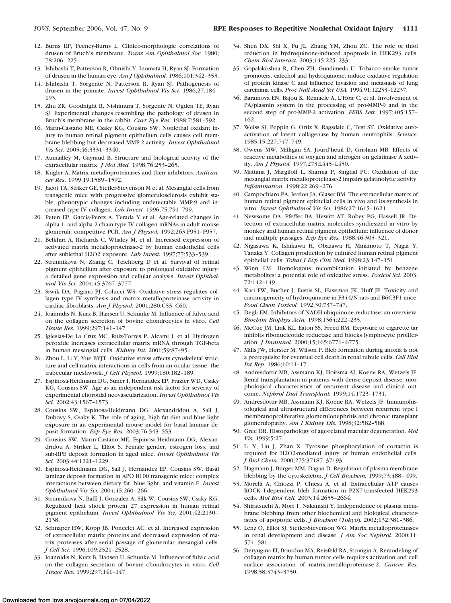- 12. Burns RP, Feeney-Burns L. Clinico-morphologic correlations of drusen of Bruch's membrane. *Trans Am Ophthalmol Soc.* 1980; 78:206 –225.
- 13. Ishibashi T, Patterson R, Ohnishi Y, Inomata H, Ryan SJ. Formation of drusen in the human eye. *Am J Ophthalmol.* 1986;101:342–353.
- 14. Ishibashi T, Sorgente N, Patterson R, Ryan SJ. Pathogenesis of drusen in the primate. *Invest Ophthalmol Vis Sci.* 1986;27:184 – 193.
- 15. Zhu ZR, Goodnight R, Nishimura T, Sorgente N, Ogden TE, Ryan SJ. Experimental changes resembling the pathology of drusen in Bruch's membrane in the rabbit. *Curr Eye Res.* 1988;7:581–592.
- 16. Marin-Castaño ME, Csaky KG, Cousins SW. Nonlethal oxidant injury to human retinal pigment epithelium cells causes cell membrane blebbing but decreased MMP-2 activity. *Invest Ophthalmol Vis Sci.* 2005;46:3331–3340.
- 17. Aumailley M, Gayraud B. Structure and biological activity of the extracellular matrix. *J Mol Med.* 1998;76:253–265.
- 18. Kugler A. Matrix metalloproteinases and their inhibitors. *Anticancer Res*. 1999;19:1589 –1592.
- 19. Jacot TA, Striker GE, Stetler-Stevenson M et al. Mesangial cells from transgenic mice with progressive glomerulosclerosis exhibit stable, phenotypic changes including undetectable MMP-9 and increased type IV collagen. *Lab Invest.* 1996;75:791–799.
- 20. Peten EP, Garcia-Perez A, Terada Y et al. Age-related changes in alpha 1- and alpha 2-chain type IV collagen mRNAs in adult mouse glomeruli: competitive PCR. *Am J Physiol.* 1992;263:F951–F957.
- 21. Belkhiri A, Richards C, Whaley M, et al. Increased expression of activated matrix metalloproteinase-2 by human endothelial cells after sublethal H2O2 exposure. *Lab Invest.* 1997;77:533–539.
- 22. Strunnikova N, Zhang C, Teichberg D et al. Survival of retinal pigment epithelium after exposure to prolonged oxidative injury: a detailed gene expression and cellular analysis. *Invest Ophthalmol Vis Sci.* 2004;45:3767–3777.
- 23. Siwik DA, Pagano PJ, Colucci WS. Oxidative stress regulates collagen type IV synthesis and matrix metalloproteinase activity in cardiac fibroblasts. *Am J Physiol.* 2001;280:C53–C60.
- 24. Ioannidis N, Kurz B, Hansen U, Schunke M. Influence of fulvic acid on the collagen secretion of bovine chondrocytes in vitro. *Cell Tissue Res.* 1999;297:141–147.
- 25. Iglesias-De La Cruz MC, Ruiz-Torres P, Alcami J, et al. Hydrogen peroxide increases extracellular matrix mRNA through TGF-beta in human mesangial cells. *Kidney Int.* 2001;59:87–95.
- 26. Zhou L, Li Y, Yue BYJT. Oxidative stress affects cytoskeletal structure and cell-matrix interactions in cells from an ocular tissue: the trabecular meshwork. *J Cell Physiol.* 1999;180:182–189.
- 27. Espinosa-Heidmann DG, Suner I, Hernandez EP, Frazier WD, Csaky KG, Cousins SW. Age as an independent risk factor for severity of experimental choroidal neovascularization. *Invest Ophthalmol Vis Sci.* 2002;43:1567–1573.
- 28. Cousins SW, Espinosa-Heidmann DG, Alexandridou A, Sall J, Dubovy S, Csaky K. The role of aging, high fat diet and blue light exposure in an experimental mouse model for basal laminar deposit formation. *Exp Eye Res.* 2003;76:543–553.
- 29. Cousins SW, Marin-Castano ME, Espinosa-Heidmann DG, Alexandridou A, Striker L, Elliot S. Female gender, estrogen loss, and sub-RPE deposit formation in aged mice. *Invest Ophthalmol Vis Sci.* 2003;44:1221–1229.
- 30. Espinosa-Heidmann DG, Sall J, Hernandez EP, Cousins SW. Basal laminar deposit formation in APO B100 transgenic mice: complex interactions between dietary fat, blue light, and vitamin E. *Invest Ophthalmol Vis Sci.* 2004;45:260 –266.
- 31. Strunnikova N, Baffi J, Gonzalez A, Silk W, Cousins SW, Csaky KG. Regulated heat shock protein 27 expression in human retinal pigment epithelium. *Invest Ophthalmol Vis Sci.* 2001;42:2130 – 2138.
- 32. Schnaper HW, Kopp JB, Poncelet AC, et al. Increased expression of extracellular matrix proteins and decreased expression of matrix proteases after serial passage of glomerular mesangial cells. *J Cell Sci.* 1996;109:2521–2528.
- 33. Ioannidis N, Kurz B, Hansen U, Schunke M. Influence of fulvic acid on the collagen secretion of bovine chondrocytes in vitro. *Cell Tissue Res.* 1999;297:141–147.
- 34. Shen DX, Shi X, Fu JL, Zhang YM, Zhou ZC. The role of thiol reduction in hydroquinone-induced apoptosis in HEK293 cells. *Chem Biol Interact.* 2003;145:225–233.
- 35. Gopalakrishna R, Chen ZH, Gundimeda U. Tobacco smoke tumor promoters, catechol and hydroquinone, induce oxidative regulation of protein kinase C and influence invasion and metastasis of lung carcinima cells. *Proc Natl Acad Sci USA.* 1994;91:12233–12237.
- 36. Baramova EN, Bajou K, Remacle A, L'Hoir C, et al. Involvement of PA/plasmin system in the processing of pro-MMP-9 and in the second step of pro-MMP-2 activation. **FEBS Lett.** 1997;405:157-162.
- 37. Weiss SJ, Peppin G, Ortiz X, Ragsdale C, Test ST. Oxidative autoactivation of latent collagenase by human neutrophils. *Science.* 1985;15:227:747–749.
- 38. Owens MW, Milligan SA, Jourd'heuil D, Grisham MB. Effects of reactive metabolites of oxygen and nitrogen on gelatinase A activity. *Am J Physiol.* 1997;273:L445–L450.
- 39. Mattana J, Margiloff L, Sharma P, Singhal PC. Oxidation of the mesangial matrix metalloproteinase-2 impairs gelatinolytic activity. *Inflammation.* 1998;22:269 –276.
- 40. Campochiaro PA, Jerdon JA, Glaser BM. The extracellular matrix of human retinal pigment epithelial cells in vivo and its synthesis in vitro. *Invest Ophthalmol Vis Sci.* 1986;27:1615–1621.
- 41. Newsome DA, Pfeffer BA, Hewitt AT, Robey PG, Hassell JR. Detection of extracellular matrix molecules synthesized in vitro by monkey and human retinal pigment epithelium: influence of donor and multiple passages. *Exp Eye Res.* 1988;46:305–321.
- 42. Nigasawa K, Ishikawa H, Obazawa H, Minamoto T, Nagai Y, Tanaka Y. Collagen production by cultured human retinal pigment epithelial cells. *Tokai J Exp Clin Med.* 1998;23:147–151.
- 43. Winn LM. Homologous recombination initiated by benzene metabolites: a potential role of oxidative stress. *Toxicol Sci.* 2003; 72:142–149.
- 44. Kari FW, Bucher J, Eustis SL, Haseman JK, Huff JE. Toxicity and carcinogenicity of hydroquinone in F344/N rats and B6C3F1 mice. *Food Chem Toxicol.* 1992;30:737–747.
- 45. Degli EM. Inhibitors of NADH-ubiquinone reductase: an overview. *Biochim Biophys Acta.* 1998;1364:222–235.
- 46. McCue JM, Link KL, Eaton SS, Freed BM. Exposure to cigarette tar inhibits ribonucleotide reductase and blocks lymphocyte proliferation. *J Immunol.* 2000;15;165:6771– 6775.
- 47. Mills JW, Horster M, Wilson P. Bleb formation during anoxia is not a prerequisite for eventual cell death in renal tubule cells. *Cell Biol Int Rep.* 1986;10:11–17.
- 48. Andresdottir MB, Assmann KJ, Hoitsma AJ, Koene RA, Wetzels JF. Renal transplantation in patients with dense deposit disease: morphological characteristics of recurrent disease and clinical outcome. *Nephrol Dial Transplant.* 1999;14:1723–1731.
- 49. Andresdottir MB, Assmann KJ, Koene RA, Wetzels JF. Immunohistological and ultrastructural differences between recurrent type I membranoproliferative glomerulonephritis and chronic transplant glomerulopathy. *Am J Kidney Dis.* 1998;32:582–588.
- 50. Gree DR. Histopathology of age-related macular degeneration. *Mol Vis.* 1999;5:27.
- 51. Li Y, Liu J, Zhan X. Tyrosine phosphorylation of cortactin is required for H2O2-mediated injury of human endothelial cells. *J Biol Chem.* 2000;275:37187–37193.
- 52. Hagmann J, Burger MM, Dagan D. Regulation of plasma membrane blebbing by the cytoskeleton. *J Cell Biochem.* 1999;73:488 – 499.
- 53. Morelli A, Chiozzi P, Chiesa A, et al. Extracellular ATP causes ROCK I-dependent bleb formation in P2X7-transfected HEK293 cells. *Mol Biol Cell.* 2003;14:2655–2664.
- 54. Shiratsuchi A, Mori T, Nakanishi Y. Independence of plasma membrane blebbing from other biochemical and biological characteristics of apoptotic cells. *J Biochem* (*Tokyo*)*.* 2002;132:381–386.
- 55. Lenz O, Elliot SJ, Stetler-Stevenson WG. Matrix metalloproteinases in renal development and disease. *J Am Soc Nephrol.* 2000;11: 574 –581.
- 56. Deryugina EI, Bourdon MA, Reisfeld RA, Strongin A. Remodeling of collagen matrix by human tumor cells requires activation and cell surface association of matrix-metalloproteinase-2. *Cancer Res.* 1998;58:3743–3750.